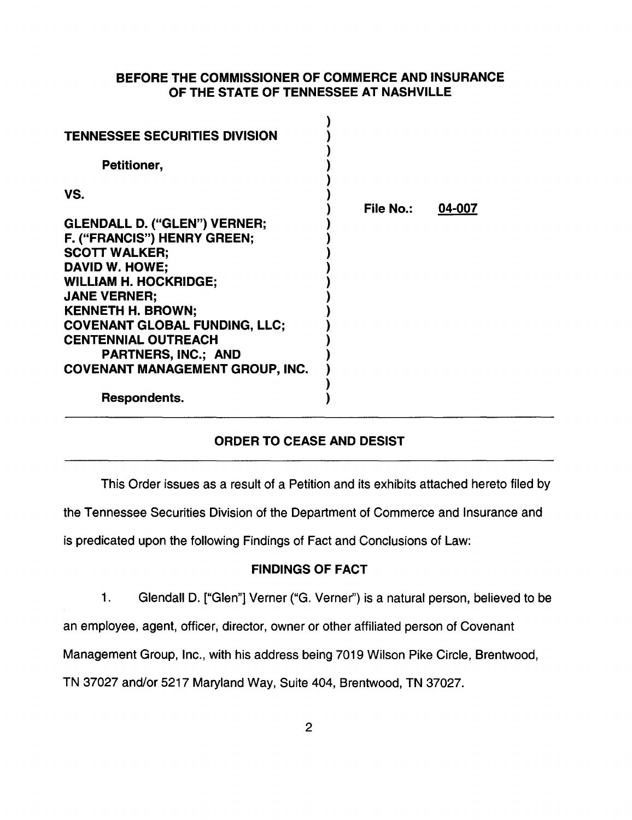## BEFORE THE COMMISSIONER OF COMMERCE AND INSURANCE OF THE STATE OF TENNESSEE AT NASHVILLE

| <b>TENNESSEE SECURITIES DIVISION</b><br>Petitioner,                                                                                                                                                                                                                                                                                           |           |        |
|-----------------------------------------------------------------------------------------------------------------------------------------------------------------------------------------------------------------------------------------------------------------------------------------------------------------------------------------------|-----------|--------|
| VS.<br>GLENDALL D. ("GLEN") VERNER;<br>F. ("FRANCIS") HENRY GREEN;<br><b>SCOTT WALKER;</b><br>DAVID W. HOWE:<br><b>WILLIAM H. HOCKRIDGE;</b><br><b>JANE VERNER:</b><br><b>KENNETH H. BROWN;</b><br><b>COVENANT GLOBAL FUNDING, LLC:</b><br><b>CENTENNIAL OUTREACH</b><br><b>PARTNERS, INC.; AND</b><br><b>COVENANT MANAGEMENT GROUP, INC.</b> | File No.: | 04-007 |
| Respondents.                                                                                                                                                                                                                                                                                                                                  |           |        |

## ORDER TO CEASE AND DESIST

This Order issues as a result of a Petition and its exhibits attached hereto filed by

the Tennessee Securities Division of the Department of Commerce and Insurance and

is predicated upon the following Findings of Fact and Conclusions of Law:

## FINDINGS OF FACT

1. Glendall D. ["Glen"] Verner ("G. Verner'') is a natural person, believed to be

an employee, agent, officer, director, owner or other affiliated person of Covenant

Management Group, Inc., with his address being 7019 Wilson Pike Circle, Brentwood,

TN 37027 and/or 5217 Maryland Way, Suite 404, Brentwood, TN 37027.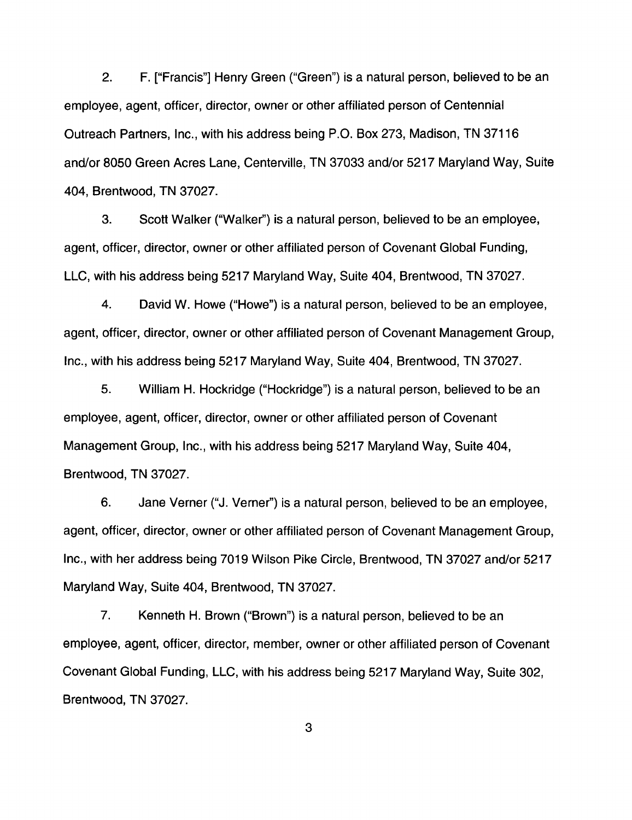2. F. ["Francis"] Henry Green ("Green") is a natural person, believed to be an employee, agent, officer, director, owner or other affiliated person of Centennial Outreach Partners, Inc., with his address being P.O. Box 273, Madison, TN 37116 and/or 8050 Green Acres Lane, Centerville, TN 37033 and/or 5217 Maryland Way, Suite 404, Brentwood, TN 37027.

3. Scott Walker ("Walker'') is a natural person, believed to be an employee, agent, officer, director, owner or other affiliated person of Covenant Global Funding, LLC, with his address being 5217 Maryland Way, Suite 404, Brentwood, TN 37027.

4. David W. Howe ("Howe") is a natural person, believed to be an employee, agent, officer, director, owner or other affiliated person of Covenant Management Group, Inc., with his address being 5217 Maryland Way, Suite 404, Brentwood, TN 37027.

5. William H. Hockridge ("Hockridge") is a natural person, believed to be an employee, agent, officer, director, owner or other affiliated person of Covenant Management Group, Inc., with his address being 5217 Maryland Way, Suite 404, Brentwood, TN 37027.

6. Jane Verner ("J. Verner") is a natural person, believed to be an employee, agent, officer, director, owner or other affiliated person of Covenant Management Group, Inc., with her address being 7019 Wilson Pike Circle, Brentwood, TN 37027 and/or 5217 Maryland Way, Suite 404, Brentwood, TN 37027.

7. Kenneth H. Brown ("Brown") is a natural person, believed to be an employee, agent, officer, director, member, owner or other affiliated person of Covenant Covenant Global Funding, LLC, with his address being 5217 Maryland Way, Suite 302, Brentwood, TN 37027.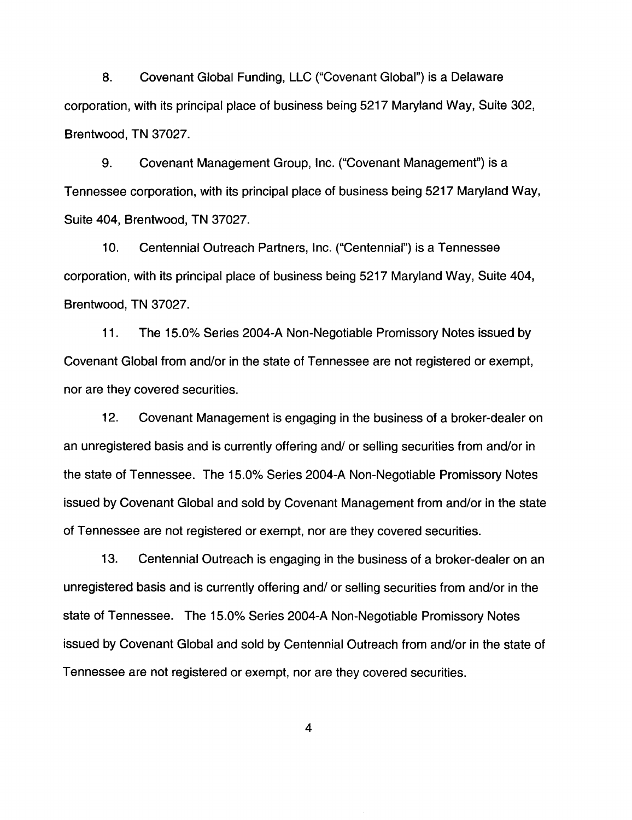8. Covenant Global Funding, LLC ("Covenant Global") is a Delaware corporation, with its principal place of business being 5217 Maryland Way, Suite 302, Brentwood, TN 37027.

9. Covenant Management Group, Inc. ("Covenant Management") is a Tennessee corporation, with its principal place of business being 5217 Maryland Way, Suite 404, Brentwood, TN 37027.

10. Centennial Outreach Partners, Inc. ("Centennial") is a Tennessee corporation, with its principal place of business being 5217 Maryland Way, Suite 404, Brentwood, TN 37027.

11. The 15.0% Series 2004-A Non-Negotiable Promissory Notes issued by Covenant Global from and/or in the state of Tennessee are not registered or exempt, nor are they covered securities.

12. Covenant Management is engaging in the business of a broker-dealer on an unregistered basis and is currently offering and/ or selling securities from and/or in the state of Tennessee. The 15.0% Series 2004-A Non-Negotiable Promissory Notes issued by Covenant Global and sold by Covenant Management from and/or in the state of Tennessee are not registered or exempt, nor are they covered securities.

13. Centennial Outreach is engaging in the business of a broker-dealer on an unregistered basis and is currently offering and/ or selling securities from and/or in the state of Tennessee. The 15.0% Series 2004-A Non-Negotiable Promissory Notes issued by Covenant Global and sold by Centennial Outreach from and/or in the state of Tennessee are not registered or exempt, nor are they covered securities.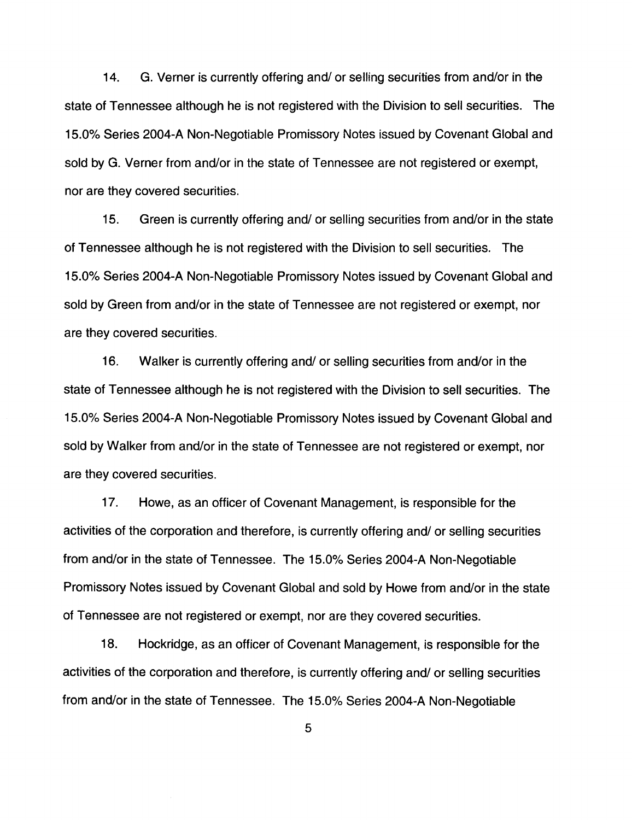14. G. Verner is currently offering and/ or selling securities from and/or in the state of Tennessee although he is not registered with the Division to sell securities. The 15.0% Series 2004-A Non-Negotiable Promissory Notes issued by Covenant Global and sold by G. Verner from and/or in the state of Tennessee are not registered or exempt, nor are they covered securities.

15. Green is currently offering and/ or selling securities from and/or in the state of Tennessee although he is not registered with the Division to sell securities. The 15.0% Series 2004-A Non-Negotiable Promissory Notes issued by Covenant Global and sold by Green from and/or in the state of Tennessee are not registered or exempt, nor are they covered securities.

16. Walker is currently offering and/ or selling securities from and/or in the state of Tennessee although he is not registered with the Division to sell securities. The 15.0% Series 2004-A Non-Negotiable Promissory Notes issued by Covenant Global and sold by Walker from and/or in the state of Tennessee are not registered or exempt, nor are they covered securities.

17. Howe, as an officer of Covenant Management, is responsible for the activities of the corporation and therefore, is currently offering and/ or selling securities from and/or in the state of Tennessee. The 15.0% Series 2004-A Non-Negotiable Promissory Notes issued by Covenant Global and sold by Howe from and/or in the state of Tennessee are not registered or exempt, nor are they covered securities.

18. Hockridge, as an officer of Covenant Management, is responsible for the activities of the corporation and therefore, is currently offering and/ or selling securities from and/or in the state of Tennessee. The 15.0% Series 2004-A Non-Negotiable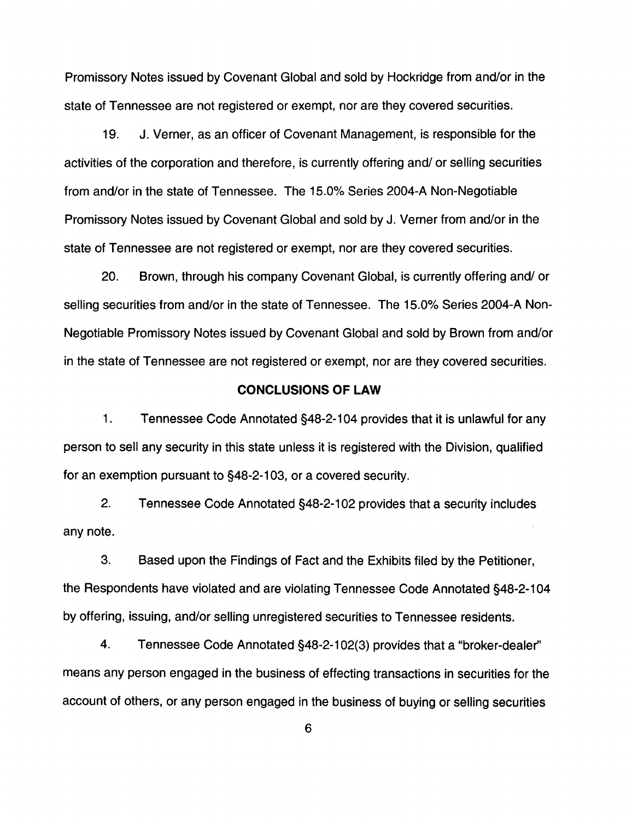Promissory Notes issued by Covenant Global and sold by Hockridge from and/or in the state of Tennessee are not registered or exempt, nor are they covered securities.

19. J. Verner, as an officer of Covenant Management, is responsible for the activities of the corporation and therefore, is currently offering and/ or selling securities from and/or in the state of Tennessee. The 15.0% Series 2004-A Non-Negotiable Promissory Notes issued by Covenant Global and sold by J. Verner from and/or in the state of Tennessee are not registered or exempt, nor are they covered securities.

20. Brown, through his company Covenant Global, is currently offering and/ or selling securities from and/or in the state of Tennessee. The 15.0% Series 2004-A Non-Negotiable Promissory Notes issued by Covenant Global and sold by Brown from and/or in the state of Tennessee are not registered or exempt, nor are they covered securities.

## **CONCLUSIONS OF LAW**

1. Tennessee Code Annotated §48-2-1 04 provides that it is unlawful for any person to sell any security in this state unless it is registered with the Division, qualified for an exemption pursuant to §48-2-103, or a covered security.

2. Tennessee Code Annotated §48-2-102 provides that a security includes any note.

3. Based upon the Findings of Fact and the Exhibits filed by the Petitioner, the Respondents have violated and are violating Tennessee Code Annotated §48-2-104 by offering, issuing, and/or selling unregistered securities to Tennessee residents.

4. Tennessee Code Annotated §48-2-1 02(3) provides that a "broker-dealer'' means any person engaged in the business of effecting transactions in securities for the account of others, or any person engaged in the business of buying or selling securities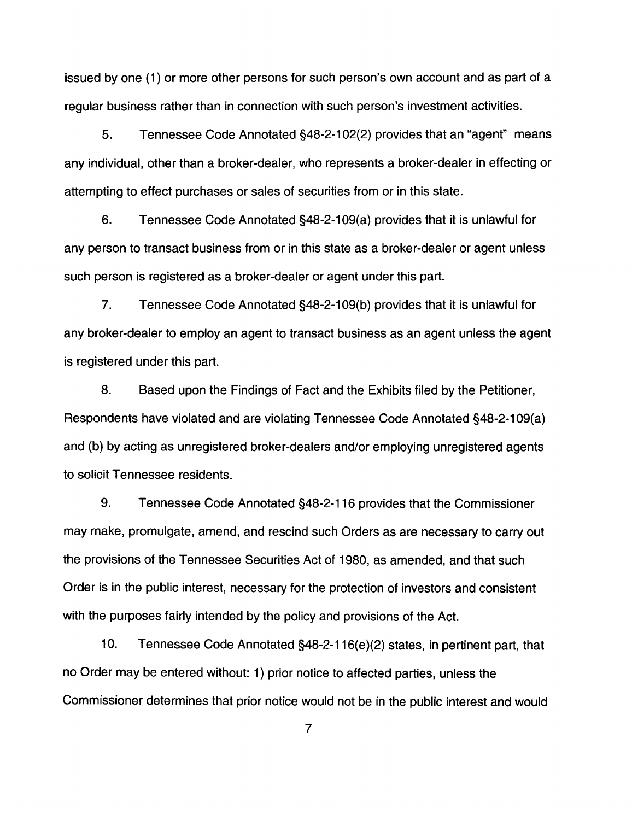issued by one (1) or more other persons for such person's own account and as part of a regular business rather than in connection with such person's investment activities.

5. Tennessee Code Annotated §48-2-102(2) provides that an "agent" means any individual, other than a broker-dealer, who represents a broker-dealer in effecting or attempting to effect purchases or sales of securities from or in this state.

6. Tennessee Code Annotated §48-2-1 09(a) provides that it is unlawful for any person to transact business from or in this state as a broker-dealer or agent unless such person is registered as a broker-dealer or agent under this part.

7. Tennessee Code Annotated §48-2-1 09(b) provides that it is unlawful for any broker-dealer to employ an agent to transact business as an agent unless the agent is registered under this part.

8. Based upon the Findings of Fact and the Exhibits filed by the Petitioner, Respondents have violated and are violating Tennessee Code Annotated §48-2-109(a) and (b) by acting as unregistered broker-dealers and/or employing unregistered agents to solicit Tennessee residents.

9. Tennessee Code Annotated §48-2-116 provides that the Commissioner may make, promulgate, amend, and rescind such Orders as are necessary to carry out the provisions of the Tennessee Securities Act of 1980, as amended, and that such Order is in the public interest, necessary for the protection of investors and consistent with the purposes fairly intended by the policy and provisions of the Act.

10. Tennessee Code Annotated §48-2-116(e)(2) states, in pertinent part, that no Order may be entered without: 1) prior notice to affected parties, unless the Commissioner determines that prior notice would not be in the public interest and would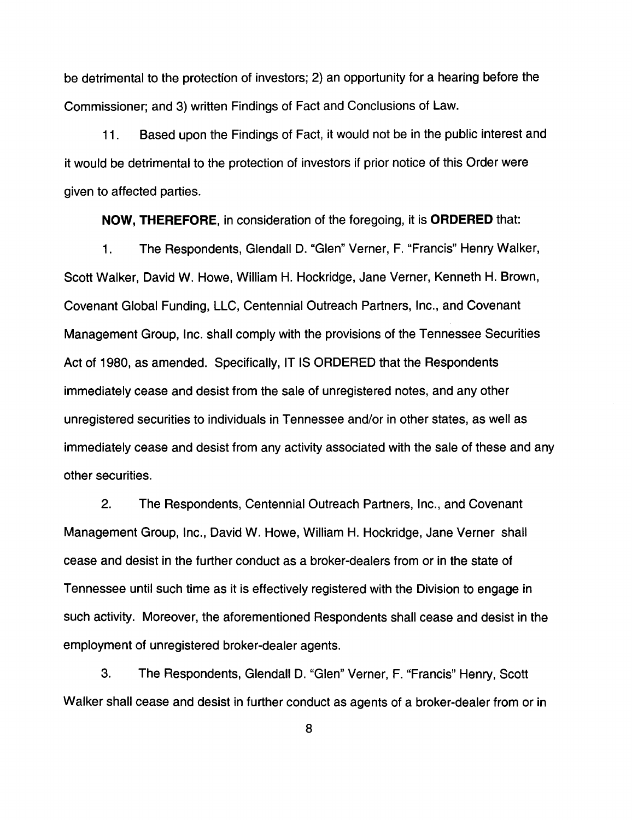be detrimental to the protection of investors; 2) an opportunity for a hearing before the Commissioner; and 3) written Findings of Fact and Conclusions of Law.

11 . Based upon the Findings of Fact, it would not be in the public interest and it would be detrimental to the protection of investors if prior notice of this Order were given to affected parties.

**NOW, THEREFORE,** in consideration of the foregoing, it is **ORDERED** that:

1. The Respondents, Glendall D. "Glen" Verner, F. "Francis" Henry Walker, Scott Walker, David W. Howe, William H. Hockridge, Jane Verner, Kenneth H. Brown, Covenant Global Funding, LLC, Centennial Outreach Partners, Inc., and Covenant Management Group, Inc. shall comply with the provisions of the Tennessee Securities Act of 1980, as amended. Specifically, IT IS ORDERED that the Respondents immediately cease and desist from the sale of unregistered notes, and any other unregistered securities to individuals in Tennessee and/or in other states, as well as immediately cease and desist from any activity associated with the sale of these and any other securities.

2. The Respondents, Centennial Outreach Partners, Inc., and Covenant Management Group, Inc., David W. Howe, William H. Hockridge, Jane Verner shall cease and desist in the further conduct as a broker-dealers from or in the state of Tennessee until such time as it is effectively registered with the Division to engage in such activity. Moreover, the aforementioned Respondents shall cease and desist in the employment of unregistered broker-dealer agents.

3. The Respondents, Glendall D. "Glen" Verner, F. "Francis" Henry, Scott Walker shall cease and desist in further conduct as agents of a broker-dealer from or in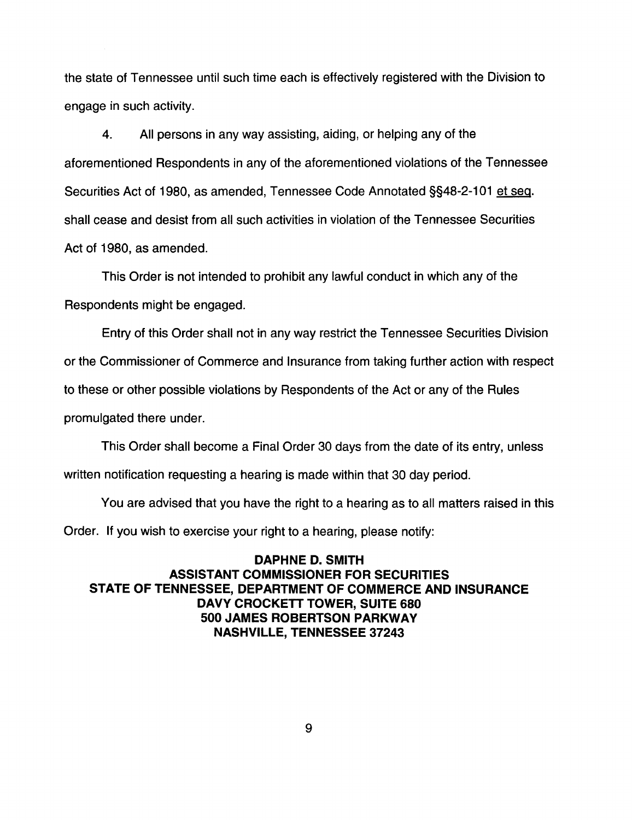the state of Tennessee until such time each is effectively registered with the Division to engage in such activity.

4. All persons in any way assisting, aiding, or helping any of the aforementioned Respondents in any of the aforementioned violations of the Tennessee Securities Act of 1980, as amended, Tennessee Code Annotated §§48-2-101 et seq. shall cease and desist from all such activities in violation of the Tennessee Securities Act of 1980, as amended.

This Order is not intended to prohibit any lawful conduct in which any of the Respondents might be engaged.

Entry of this Order shall not in any way restrict the Tennessee Securities Division

or the Commissioner of Commerce and Insurance from taking further action with respect

to these or other possible violations by Respondents of the Act or any of the Rules

promulgated there under.

This Order shall become a Final Order 30 days from the date of its entry, unless

written notification requesting a hearing is made within that 30 day period.

You are advised that you have the right to a hearing as to all matters raised in this Order. If you wish to exercise your right to a hearing, please notify:

**DAPHNE D. SMITH ASSISTANT COMMISSIONER FOR SECURITIES STATE OF TENNESSEE, DEPARTMENT OF COMMERCE AND INSURANCE DAVY CROCKETT TOWER, SUITE 680 500 JAMES ROBERTSON PARKWAY NASHVILLE, TENNESSEE 37243**